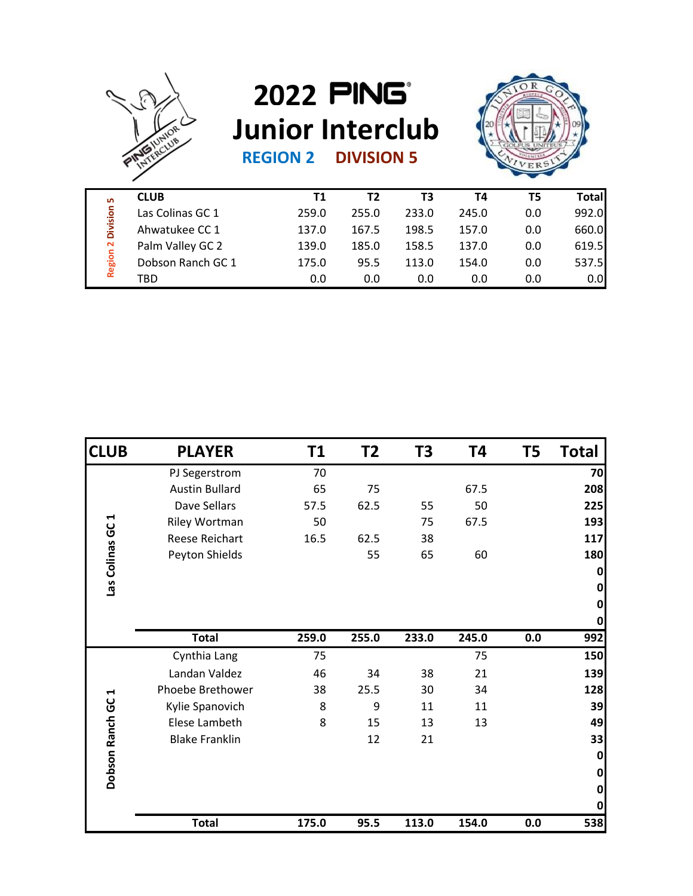

## **REGION 2 DIVISION 5 2022 Junior Interclub**



| <b>LO</b><br>Division<br>$\sim$<br>Region | <b>CLUB</b>       | Τ1    | Τ2    | T3    | Τ4    | T5  | <b>Total</b> |
|-------------------------------------------|-------------------|-------|-------|-------|-------|-----|--------------|
|                                           | Las Colinas GC 1  | 259.0 | 255.0 | 233.0 | 245.0 | 0.0 | 992.0        |
|                                           | Ahwatukee CC 1    | 137.0 | 167.5 | 198.5 | 157.0 | 0.0 | 660.0        |
|                                           | Palm Valley GC 2  | 139.0 | 185.0 | 158.5 | 137.0 | 0.0 | 619.5        |
|                                           | Dobson Ranch GC 1 | 175.0 | 95.5  | 113.0 | 154.0 | 0.0 | 537.5        |
|                                           | TBD               | 0.0   | 0.0   | 0.0   | 0.0   | 0.0 | 0.0          |

| Las Colinas GC 1      | 259.0                                                                                                                                       | 255.0                                            | 233.0                       | 245.0                   | 0.0                         | 992.0                               |
|-----------------------|---------------------------------------------------------------------------------------------------------------------------------------------|--------------------------------------------------|-----------------------------|-------------------------|-----------------------------|-------------------------------------|
| Ahwatukee CC 1        | 137.0                                                                                                                                       | 167.5                                            | 198.5                       | 157.0                   | 0.0                         | 660.0                               |
| Palm Valley GC 2      | 139.0                                                                                                                                       | 185.0                                            | 158.5                       | 137.0                   | 0.0                         | 619.5                               |
| Dobson Ranch GC 1     | 175.0                                                                                                                                       | 95.5                                             | 113.0                       | 154.0                   | 0.0                         | 537.5                               |
| TBD                   | $0.0\,$                                                                                                                                     | $0.0\,$                                          | 0.0                         | $0.0\,$                 | $0.0\,$                     | 0.0                                 |
|                       |                                                                                                                                             |                                                  |                             |                         |                             |                                     |
| <b>PLAYER</b>         | T1                                                                                                                                          | T <sub>2</sub>                                   | T <sub>3</sub>              | T4                      | T5                          | <b>Total</b>                        |
|                       |                                                                                                                                             |                                                  |                             |                         |                             | 70<br>208                           |
|                       |                                                                                                                                             |                                                  |                             |                         |                             | 225                                 |
|                       |                                                                                                                                             |                                                  |                             |                         |                             | 193                                 |
|                       |                                                                                                                                             |                                                  |                             |                         |                             | 117                                 |
|                       |                                                                                                                                             | 55                                               | 65                          | 60                      |                             | 180                                 |
|                       |                                                                                                                                             |                                                  |                             |                         |                             | $\mathbf{0}$<br> 0 <br>$\mathbf{0}$ |
|                       |                                                                                                                                             |                                                  |                             |                         |                             | $\mathbf{0}$<br>992                 |
|                       | 75                                                                                                                                          |                                                  |                             | 75                      |                             | 150                                 |
| Landan Valdez         | 46                                                                                                                                          | 34                                               | 38                          | 21                      |                             | 139                                 |
| Phoebe Brethower      | 38                                                                                                                                          | 25.5                                             | 30                          | 34                      |                             | 128                                 |
| Kylie Spanovich       | 8                                                                                                                                           | 9                                                | $11\,$                      | 11                      |                             | 39                                  |
| Elese Lambeth         | 8                                                                                                                                           | 15                                               | 13                          | 13                      |                             | 49                                  |
| <b>Blake Franklin</b> |                                                                                                                                             | 12                                               | 21                          |                         |                             | 33                                  |
|                       |                                                                                                                                             |                                                  |                             |                         |                             | $\mathbf{0}$                        |
|                       |                                                                                                                                             |                                                  |                             |                         |                             | $\mathbf 0$                         |
|                       |                                                                                                                                             |                                                  |                             |                         |                             | $\mathbf 0$                         |
|                       |                                                                                                                                             |                                                  |                             |                         |                             | $\mathbf{0}$                        |
| <b>Total</b>          |                                                                                                                                             | 95.5                                             | 113.0                       | 154.0                   | 0.0                         | 538                                 |
|                       | PJ Segerstrom<br><b>Austin Bullard</b><br>Dave Sellars<br>Riley Wortman<br>Reese Reichart<br>Peyton Shields<br><b>Total</b><br>Cynthia Lang | 70<br>65<br>57.5<br>50<br>16.5<br>259.0<br>175.0 | 75<br>62.5<br>62.5<br>255.0 | 55<br>75<br>38<br>233.0 | 67.5<br>50<br>67.5<br>245.0 | 0.0                                 |